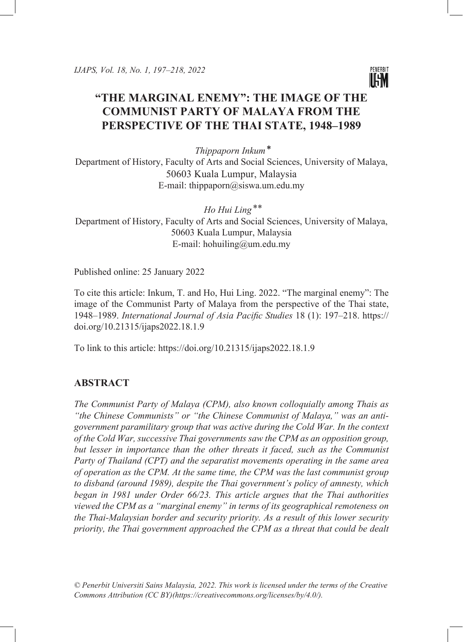

# **"THE MARGINAL ENEMY": THE IMAGE OF THE COMMUNIST PARTY OF MALAYA FROM THE PERSPECTIVE OF THE THAI STATE, 1948–1989**

*Thippaporn Inkum ⃰* Department of History, Faculty of Arts and Social Sciences, University of Malaya, 50603 Kuala Lumpur, Malaysia E-mail: thippaporn@siswa.um.edu.my

Ho Hui Ling<sup>\*\*</sup> Department of History, Faculty of Arts and Social Sciences, University of Malaya, 50603 Kuala Lumpur, Malaysia E-mail: hohuiling@um.edu.my

Published online: 25 January 2022

To cite this article: Inkum, T. and Ho, Hui Ling. 2022. "The marginal enemy": The image of the Communist Party of Malaya from the perspective of the Thai state, 1948–1989. *International Journal of Asia Pacific Studies* 18 (1): 197–218. [https://](https://doi.org/10.21315/ijaps2022.18.1.9) [doi.org/10.21315/ijaps2022.18.1.9](https://doi.org/10.21315/ijaps2022.18.1.9)

To link to this article: <https://doi.org/10.21315/ijaps2022.18.1.9>

# **ABSTRACT**

*The Communist Party of Malaya (CPM), also known colloquially among Thais as "the Chinese Communists" or "the Chinese Communist of Malaya," was an antigovernment paramilitary group that was active during the Cold War. In the context of the Cold War, successive Thai governments saw the CPM as an opposition group, but lesser in importance than the other threats it faced, such as the Communist Party of Thailand (CPT) and the separatist movements operating in the same area of operation as the CPM. At the same time, the CPM was the last communist group to disband (around 1989), despite the Thai government's policy of amnesty, which began in 1981 under Order 66/23. This article argues that the Thai authorities viewed the CPM as a "marginal enemy" in terms of its geographical remoteness on the Thai-Malaysian border and security priority. As a result of this lower security priority, the Thai government approached the CPM as a threat that could be dealt* 

*© Penerbit Universiti Sains Malaysia, 2022. This work is licensed under the terms of the Creative Commons Attribution (CC BY)(https://creativecommons.org/licenses/by/4.0/).*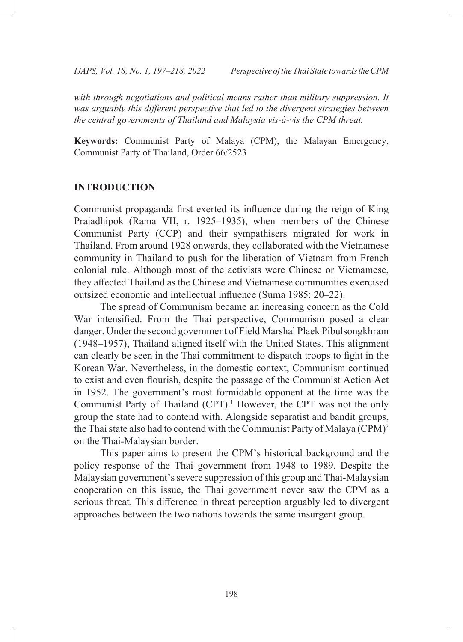with through negotiations and political means rather than military suppression. It was arguably this different perspective that led to the divergent strategies between *the central governments of Thailand and Malaysia vis-à-vis the CPM threat.* 

**Keywords:** Communist Party of Malaya (CPM), the Malayan Emergency, Communist Party of Thailand, Order 66/2523

# **INTRODUCTION**

Communist propaganda first exerted its influence during the reign of King Prajadhipok (Rama VII, r. 1925–1935), when members of the Chinese Communist Party (CCP) and their sympathisers migrated for work in Thailand. From around 1928 onwards, they collaborated with the Vietnamese community in Thailand to push for the liberation of Vietnam from French colonial rule. Although most of the activists were Chinese or Vietnamese, they affected Thailand as the Chinese and Vietnamese communities exercised outsized economic and intellectual influence (Suma 1985: 20–22).

The spread of Communism became an increasing concern as the Cold War intensified. From the Thai perspective, Communism posed a clear danger. Under the second government of Field Marshal Plaek Pibulsongkhram (1948–1957), Thailand aligned itself with the United States. This alignment can clearly be seen in the Thai commitment to dispatch troops to fight in the Korean War. Nevertheless, in the domestic context, Communism continued to exist and even flourish, despite the passage of the Communist Action Act in 1952. The government's most formidable opponent at the time was the Communist Party of Thailand (CPT).<sup>1</sup> However, the CPT was not the only group the state had to contend with. Alongside separatist and bandit groups, the Thai state also had to contend with the Communist Party of Malaya (CPM)<sup>2</sup> on the Thai-Malaysian border.

This paper aims to present the CPM's historical background and the policy response of the Thai government from 1948 to 1989. Despite the Malaysian government's severe suppression of this group and Thai-Malaysian cooperation on this issue, the Thai government never saw the CPM as a serious threat. This difference in threat perception arguably led to divergent approaches between the two nations towards the same insurgent group.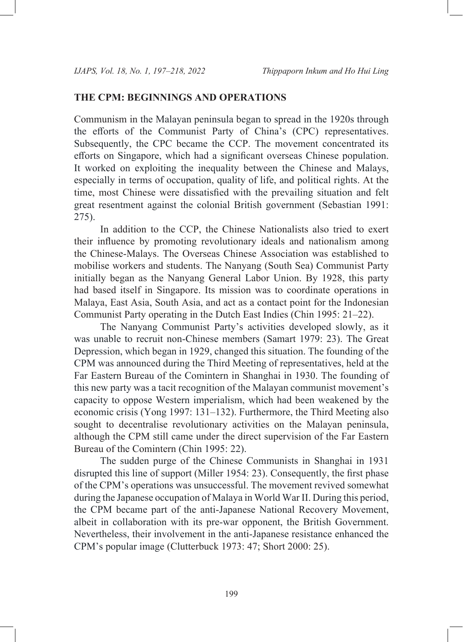# **THE CPM: BEGINNINGS AND OPERATIONS**

Communism in the Malayan peninsula began to spread in the 1920s through the efforts of the Communist Party of China's (CPC) representatives. Subsequently, the CPC became the CCP. The movement concentrated its efforts on Singapore, which had a significant overseas Chinese population. It worked on exploiting the inequality between the Chinese and Malays, especially in terms of occupation, quality of life, and political rights. At the time, most Chinese were dissatisfied with the prevailing situation and felt great resentment against the colonial British government (Sebastian 1991: 275).

In addition to the CCP, the Chinese Nationalists also tried to exert their influence by promoting revolutionary ideals and nationalism among the Chinese-Malays. The Overseas Chinese Association was established to mobilise workers and students. The Nanyang (South Sea) Communist Party initially began as the Nanyang General Labor Union. By 1928, this party had based itself in Singapore. Its mission was to coordinate operations in Malaya, East Asia, South Asia, and act as a contact point for the Indonesian Communist Party operating in the Dutch East Indies (Chin 1995: 21–22).

The Nanyang Communist Party's activities developed slowly, as it was unable to recruit non-Chinese members (Samart 1979: 23). The Great Depression, which began in 1929, changed this situation. The founding of the CPM was announced during the Third Meeting of representatives, held at the Far Eastern Bureau of the Comintern in Shanghai in 1930. The founding of this new party was a tacit recognition of the Malayan communist movement's capacity to oppose Western imperialism, which had been weakened by the economic crisis (Yong 1997: 131–132). Furthermore, the Third Meeting also sought to decentralise revolutionary activities on the Malayan peninsula, although the CPM still came under the direct supervision of the Far Eastern Bureau of the Comintern (Chin 1995: 22).

The sudden purge of the Chinese Communists in Shanghai in 1931 disrupted this line of support (Miller 1954: 23). Consequently, the first phase of the CPM's operations was unsuccessful. The movement revived somewhat during the Japanese occupation of Malaya in World War II. During this period, the CPM became part of the anti-Japanese National Recovery Movement, albeit in collaboration with its pre-war opponent, the British Government. Nevertheless, their involvement in the anti-Japanese resistance enhanced the CPM's popular image (Clutterbuck 1973: 47; Short 2000: 25).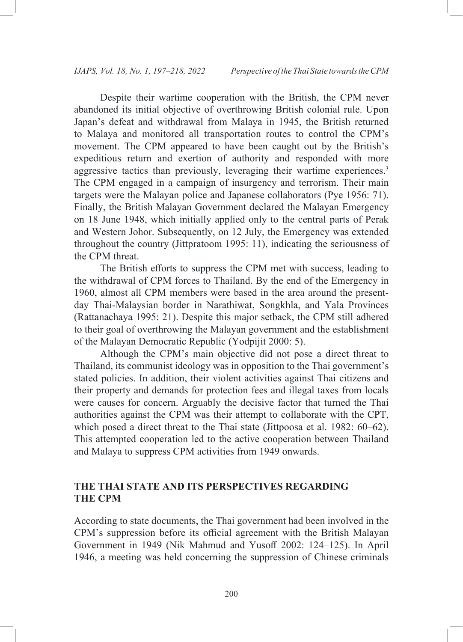Despite their wartime cooperation with the British, the CPM never abandoned its initial objective of overthrowing British colonial rule. Upon Japan's defeat and withdrawal from Malaya in 1945, the British returned to Malaya and monitored all transportation routes to control the CPM's movement. The CPM appeared to have been caught out by the British's expeditious return and exertion of authority and responded with more aggressive tactics than previously, leveraging their wartime experiences.<sup>3</sup> The CPM engaged in a campaign of insurgency and terrorism. Their main targets were the Malayan police and Japanese collaborators (Pye 1956: 71). Finally, the British Malayan Government declared the Malayan Emergency on 18 June 1948, which initially applied only to the central parts of Perak and Western Johor. Subsequently, on 12 July, the Emergency was extended throughout the country (Jittpratoom 1995: 11), indicating the seriousness of the CPM threat.

The British efforts to suppress the CPM met with success, leading to the withdrawal of CPM forces to Thailand. By the end of the Emergency in 1960, almost all CPM members were based in the area around the presentday Thai-Malaysian border in Narathiwat, Songkhla, and Yala Provinces (Rattanachaya 1995: 21). Despite this major setback, the CPM still adhered to their goal of overthrowing the Malayan government and the establishment of the Malayan Democratic Republic (Yodpijit 2000: 5).

Although the CPM's main objective did not pose a direct threat to Thailand, its communist ideology was in opposition to the Thai government's stated policies. In addition, their violent activities against Thai citizens and their property and demands for protection fees and illegal taxes from locals were causes for concern. Arguably the decisive factor that turned the Thai authorities against the CPM was their attempt to collaborate with the CPT, which posed a direct threat to the Thai state (Jittpoosa et al. 1982: 60–62). This attempted cooperation led to the active cooperation between Thailand and Malaya to suppress CPM activities from 1949 onwards.

# **THE THAI STATE AND ITS PERSPECTIVES REGARDING THE CPM**

According to state documents, the Thai government had been involved in the CPM's suppression before its official agreement with the British Malayan Government in 1949 (Nik Mahmud and Yusoff 2002: 124–125). In April 1946, a meeting was held concerning the suppression of Chinese criminals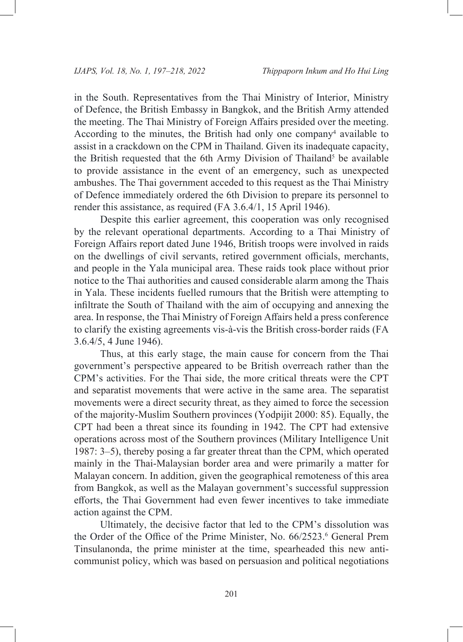in the South. Representatives from the Thai Ministry of Interior, Ministry of Defence, the British Embassy in Bangkok, and the British Army attended the meeting. The Thai Ministry of Foreign Affairs presided over the meeting. According to the minutes, the British had only one company<sup>4</sup> available to assist in a crackdown on the CPM in Thailand. Given its inadequate capacity, the British requested that the 6th Army Division of Thailand<sup>5</sup> be available to provide assistance in the event of an emergency, such as unexpected ambushes. The Thai government acceded to this request as the Thai Ministry of Defence immediately ordered the 6th Division to prepare its personnel to render this assistance, as required (FA 3.6.4/1, 15 April 1946).

Despite this earlier agreement, this cooperation was only recognised by the relevant operational departments. According to a Thai Ministry of Foreign Affairs report dated June 1946, British troops were involved in raids on the dwellings of civil servants, retired government officials, merchants, and people in the Yala municipal area. These raids took place without prior notice to the Thai authorities and caused considerable alarm among the Thais in Yala. These incidents fuelled rumours that the British were attempting to infiltrate the South of Thailand with the aim of occupying and annexing the area. In response, the Thai Ministry of Foreign Affairs held a press conference to clarify the existing agreements vis-à-vis the British cross-border raids (FA 3.6.4/5, 4 June 1946).

Thus, at this early stage, the main cause for concern from the Thai government's perspective appeared to be British overreach rather than the CPM's activities. For the Thai side, the more critical threats were the CPT and separatist movements that were active in the same area. The separatist movements were a direct security threat, as they aimed to force the secession of the majority-Muslim Southern provinces (Yodpijit 2000: 85). Equally, the CPT had been a threat since its founding in 1942. The CPT had extensive operations across most of the Southern provinces (Military Intelligence Unit 1987: 3–5), thereby posing a far greater threat than the CPM, which operated mainly in the Thai-Malaysian border area and were primarily a matter for Malayan concern. In addition, given the geographical remoteness of this area from Bangkok, as well as the Malayan government's successful suppression efforts, the Thai Government had even fewer incentives to take immediate action against the CPM.

Ultimately, the decisive factor that led to the CPM's dissolution was the Order of the Office of the Prime Minister, No. 66/2523.<sup>6</sup> General Prem Tinsulanonda, the prime minister at the time, spearheaded this new anticommunist policy, which was based on persuasion and political negotiations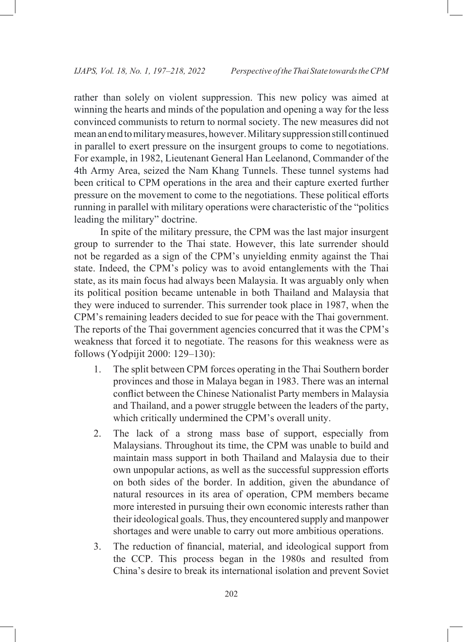rather than solely on violent suppression. This new policy was aimed at winning the hearts and minds of the population and opening a way for the less convinced communists to return to normal society. The new measures did not mean an end to military measures, however. Military suppression still continued in parallel to exert pressure on the insurgent groups to come to negotiations. For example, in 1982, Lieutenant General Han Leelanond, Commander of the 4th Army Area, seized the Nam Khang Tunnels. These tunnel systems had been critical to CPM operations in the area and their capture exerted further pressure on the movement to come to the negotiations. These political efforts running in parallel with military operations were characteristic of the "politics leading the military" doctrine.

In spite of the military pressure, the CPM was the last major insurgent group to surrender to the Thai state. However, this late surrender should not be regarded as a sign of the CPM's unyielding enmity against the Thai state. Indeed, the CPM's policy was to avoid entanglements with the Thai state, as its main focus had always been Malaysia. It was arguably only when its political position became untenable in both Thailand and Malaysia that they were induced to surrender. This surrender took place in 1987, when the CPM's remaining leaders decided to sue for peace with the Thai government. The reports of the Thai government agencies concurred that it was the CPM's weakness that forced it to negotiate. The reasons for this weakness were as follows (Yodpijit 2000: 129–130):

- 1. The split between CPM forces operating in the Thai Southern border provinces and those in Malaya began in 1983. There was an internal conflict between the Chinese Nationalist Party members in Malaysia and Thailand, and a power struggle between the leaders of the party, which critically undermined the CPM's overall unity.
- 2. The lack of a strong mass base of support, especially from Malaysians. Throughout its time, the CPM was unable to build and maintain mass support in both Thailand and Malaysia due to their own unpopular actions, as well as the successful suppression efforts on both sides of the border. In addition, given the abundance of natural resources in its area of operation, CPM members became more interested in pursuing their own economic interests rather than their ideological goals. Thus, they encountered supply and manpower shortages and were unable to carry out more ambitious operations.
- 3. The reduction of financial, material, and ideological support from the CCP. This process began in the 1980s and resulted from China's desire to break its international isolation and prevent Soviet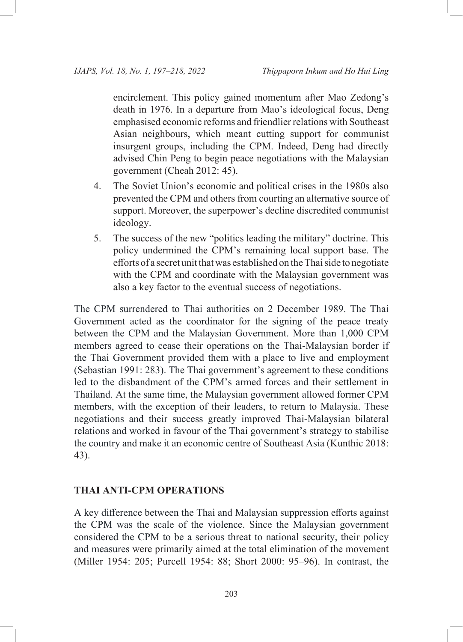encirclement. This policy gained momentum after Mao Zedong's death in 1976. In a departure from Mao's ideological focus, Deng emphasised economic reforms and friendlier relations with Southeast Asian neighbours, which meant cutting support for communist insurgent groups, including the CPM. Indeed, Deng had directly advised Chin Peng to begin peace negotiations with the Malaysian government (Cheah 2012: 45).

- 4. The Soviet Union's economic and political crises in the 1980s also prevented the CPM and others from courting an alternative source of support. Moreover, the superpower's decline discredited communist ideology.
- 5. The success of the new "politics leading the military" doctrine. This policy undermined the CPM's remaining local support base. The efforts of a secret unit that was established on the Thai side to negotiate with the CPM and coordinate with the Malaysian government was also a key factor to the eventual success of negotiations.

The CPM surrendered to Thai authorities on 2 December 1989. The Thai Government acted as the coordinator for the signing of the peace treaty between the CPM and the Malaysian Government. More than 1,000 CPM members agreed to cease their operations on the Thai-Malaysian border if the Thai Government provided them with a place to live and employment (Sebastian 1991: 283). The Thai government's agreement to these conditions led to the disbandment of the CPM's armed forces and their settlement in Thailand. At the same time, the Malaysian government allowed former CPM members, with the exception of their leaders, to return to Malaysia. These negotiations and their success greatly improved Thai-Malaysian bilateral relations and worked in favour of the Thai government's strategy to stabilise the country and make it an economic centre of Southeast Asia (Kunthic 2018: 43).

## **THAI ANTI-CPM OPERATIONS**

A key difference between the Thai and Malaysian suppression efforts against the CPM was the scale of the violence. Since the Malaysian government considered the CPM to be a serious threat to national security, their policy and measures were primarily aimed at the total elimination of the movement (Miller 1954: 205; Purcell 1954: 88; Short 2000: 95–96). In contrast, the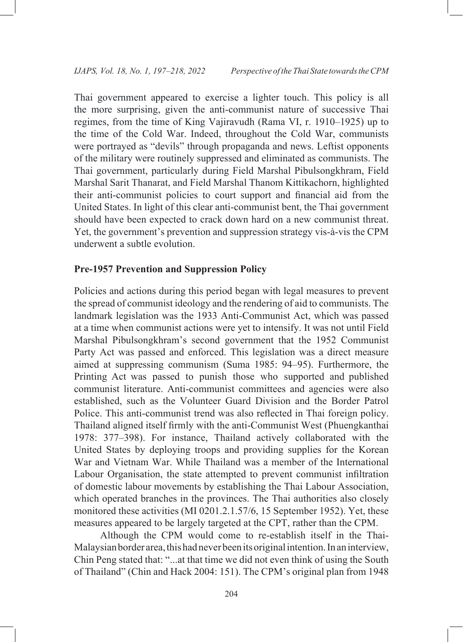Thai government appeared to exercise a lighter touch. This policy is all the more surprising, given the anti-communist nature of successive Thai regimes, from the time of King Vajiravudh (Rama VI, r. 1910–1925) up to the time of the Cold War. Indeed, throughout the Cold War, communists were portrayed as "devils" through propaganda and news. Leftist opponents of the military were routinely suppressed and eliminated as communists. The Thai government, particularly during Field Marshal Pibulsongkhram, Field Marshal Sarit Thanarat, and Field Marshal Thanom Kittikachorn, highlighted their anti-communist policies to court support and financial aid from the United States. In light of this clear anti-communist bent, the Thai government should have been expected to crack down hard on a new communist threat. Yet, the government's prevention and suppression strategy vis-à-vis the CPM underwent a subtle evolution.

#### **Pre-1957 Prevention and Suppression Policy**

Policies and actions during this period began with legal measures to prevent the spread of communist ideology and the rendering of aid to communists. The landmark legislation was the 1933 Anti-Communist Act, which was passed at a time when communist actions were yet to intensify. It was not until Field Marshal Pibulsongkhram's second government that the 1952 Communist Party Act was passed and enforced. This legislation was a direct measure aimed at suppressing communism (Suma 1985: 94–95). Furthermore, the Printing Act was passed to punish those who supported and published communist literature. Anti-communist committees and agencies were also established, such as the Volunteer Guard Division and the Border Patrol Police. This anti-communist trend was also reflected in Thai foreign policy. Thailand aligned itself firmly with the anti-Communist West (Phuengkanthai 1978: 377–398). For instance, Thailand actively collaborated with the United States by deploying troops and providing supplies for the Korean War and Vietnam War. While Thailand was a member of the International Labour Organisation, the state attempted to prevent communist infiltration of domestic labour movements by establishing the Thai Labour Association, which operated branches in the provinces. The Thai authorities also closely monitored these activities (MI 0201.2.1.57/6, 15 September 1952). Yet, these measures appeared to be largely targeted at the CPT, rather than the CPM.

Although the CPM would come to re-establish itself in the Thai-Malaysian border area, this had never been its original intention. In an interview, Chin Peng stated that: "...at that time we did not even think of using the South of Thailand" (Chin and Hack 2004: 151). The CPM's original plan from 1948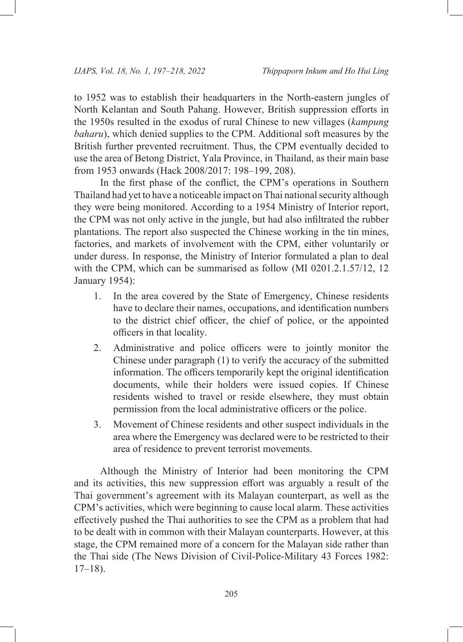to 1952 was to establish their headquarters in the North-eastern jungles of North Kelantan and South Pahang. However, British suppression efforts in the 1950s resulted in the exodus of rural Chinese to new villages (*kampung baharu*), which denied supplies to the CPM. Additional soft measures by the British further prevented recruitment. Thus, the CPM eventually decided to use the area of Betong District, Yala Province, in Thailand, as their main base from 1953 onwards (Hack 2008/2017: 198–199, 208).

In the first phase of the conflict, the CPM's operations in Southern Thailand had yet to have a noticeable impact on Thai national security although they were being monitored. According to a 1954 Ministry of Interior report, the CPM was not only active in the jungle, but had also infiltrated the rubber plantations. The report also suspected the Chinese working in the tin mines, factories, and markets of involvement with the CPM, either voluntarily or under duress. In response, the Ministry of Interior formulated a plan to deal with the CPM, which can be summarised as follow (MI 0201.2.1.57/12, 12 January 1954):

- 1. In the area covered by the State of Emergency, Chinese residents have to declare their names, occupations, and identification numbers to the district chief officer, the chief of police, or the appointed officers in that locality.
- 2. Administrative and police officers were to jointly monitor the Chinese under paragraph (1) to verify the accuracy of the submitted information. The officers temporarily kept the original identification documents, while their holders were issued copies. If Chinese residents wished to travel or reside elsewhere, they must obtain permission from the local administrative officers or the police.
- 3. Movement of Chinese residents and other suspect individuals in the area where the Emergency was declared were to be restricted to their area of residence to prevent terrorist movements.

Although the Ministry of Interior had been monitoring the CPM and its activities, this new suppression effort was arguably a result of the Thai government's agreement with its Malayan counterpart, as well as the CPM's activities, which were beginning to cause local alarm. These activities effectively pushed the Thai authorities to see the CPM as a problem that had to be dealt with in common with their Malayan counterparts. However, at this stage, the CPM remained more of a concern for the Malayan side rather than the Thai side (The News Division of Civil-Police-Military 43 Forces 1982:  $17–18$ ).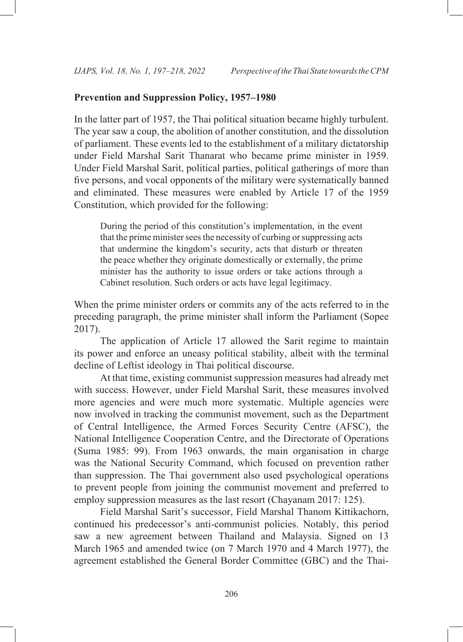# **Prevention and Suppression Policy, 1957–1980**

In the latter part of 1957, the Thai political situation became highly turbulent. The year saw a coup, the abolition of another constitution, and the dissolution of parliament. These events led to the establishment of a military dictatorship under Field Marshal Sarit Thanarat who became prime minister in 1959. Under Field Marshal Sarit, political parties, political gatherings of more than five persons, and vocal opponents of the military were systematically banned and eliminated. These measures were enabled by Article 17 of the 1959 Constitution, which provided for the following:

During the period of this constitution's implementation, in the event that the prime minister sees the necessity of curbing or suppressing acts that undermine the kingdom's security, acts that disturb or threaten the peace whether they originate domestically or externally, the prime minister has the authority to issue orders or take actions through a Cabinet resolution. Such orders or acts have legal legitimacy.

When the prime minister orders or commits any of the acts referred to in the preceding paragraph, the prime minister shall inform the Parliament (Sopee 2017).

The application of Article 17 allowed the Sarit regime to maintain its power and enforce an uneasy political stability, albeit with the terminal decline of Leftist ideology in Thai political discourse.

At that time, existing communist suppression measures had already met with success. However, under Field Marshal Sarit, these measures involved more agencies and were much more systematic. Multiple agencies were now involved in tracking the communist movement, such as the Department of Central Intelligence, the Armed Forces Security Centre (AFSC), the National Intelligence Cooperation Centre, and the Directorate of Operations (Suma 1985: 99). From 1963 onwards, the main organisation in charge was the National Security Command, which focused on prevention rather than suppression. The Thai government also used psychological operations to prevent people from joining the communist movement and preferred to employ suppression measures as the last resort (Chayanam 2017: 125).

Field Marshal Sarit's successor, Field Marshal Thanom Kittikachorn, continued his predecessor's anti-communist policies. Notably, this period saw a new agreement between Thailand and Malaysia. Signed on 13 March 1965 and amended twice (on 7 March 1970 and 4 March 1977), the agreement established the General Border Committee (GBC) and the Thai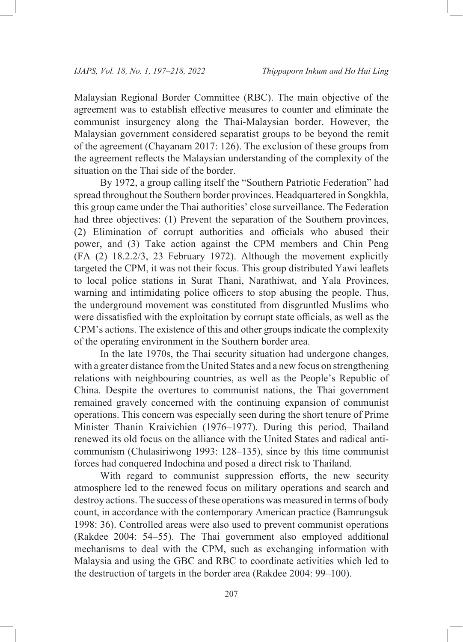Malaysian Regional Border Committee (RBC). The main objective of the agreement was to establish effective measures to counter and eliminate the communist insurgency along the Thai-Malaysian border. However, the Malaysian government considered separatist groups to be beyond the remit of the agreement (Chayanam 2017: 126). The exclusion of these groups from the agreement reflects the Malaysian understanding of the complexity of the situation on the Thai side of the border.

By 1972, a group calling itself the "Southern Patriotic Federation" had spread throughout the Southern border provinces. Headquartered in Songkhla, this group came under the Thai authorities' close surveillance. The Federation had three objectives: (1) Prevent the separation of the Southern provinces, (2) Elimination of corrupt authorities and officials who abused their power, and (3) Take action against the CPM members and Chin Peng (FA (2) 18.2.2/3, 23 February 1972). Although the movement explicitly targeted the CPM, it was not their focus. This group distributed Yawi leaflets to local police stations in Surat Thani, Narathiwat, and Yala Provinces, warning and intimidating police officers to stop abusing the people. Thus, the underground movement was constituted from disgruntled Muslims who were dissatisfied with the exploitation by corrupt state officials, as well as the CPM's actions. The existence of this and other groups indicate the complexity of the operating environment in the Southern border area.

In the late 1970s, the Thai security situation had undergone changes, with a greater distance from the United States and a new focus on strengthening relations with neighbouring countries, as well as the People's Republic of China. Despite the overtures to communist nations, the Thai government remained gravely concerned with the continuing expansion of communist operations. This concern was especially seen during the short tenure of Prime Minister Thanin Kraivichien (1976–1977). During this period, Thailand renewed its old focus on the alliance with the United States and radical anticommunism (Chulasiriwong 1993: 128–135), since by this time communist forces had conquered Indochina and posed a direct risk to Thailand.

With regard to communist suppression efforts, the new security atmosphere led to the renewed focus on military operations and search and destroy actions. The success of these operations was measured in terms of body count, in accordance with the contemporary American practice (Bamrungsuk 1998: 36). Controlled areas were also used to prevent communist operations (Rakdee 2004: 54–55). The Thai government also employed additional mechanisms to deal with the CPM, such as exchanging information with Malaysia and using the GBC and RBC to coordinate activities which led to the destruction of targets in the border area (Rakdee 2004: 99–100).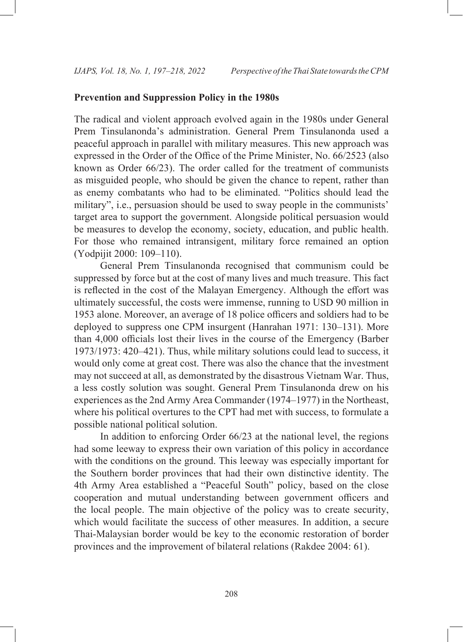# **Prevention and Suppression Policy in the 1980s**

The radical and violent approach evolved again in the 1980s under General Prem Tinsulanonda's administration. General Prem Tinsulanonda used a peaceful approach in parallel with military measures. This new approach was expressed in the Order of the Office of the Prime Minister, No. 66/2523 (also known as Order 66/23). The order called for the treatment of communists as misguided people, who should be given the chance to repent, rather than as enemy combatants who had to be eliminated. "Politics should lead the military", i.e., persuasion should be used to sway people in the communists' target area to support the government. Alongside political persuasion would be measures to develop the economy, society, education, and public health. For those who remained intransigent, military force remained an option (Yodpijit 2000: 109–110).

General Prem Tinsulanonda recognised that communism could be suppressed by force but at the cost of many lives and much treasure. This fact is reflected in the cost of the Malayan Emergency. Although the effort was ultimately successful, the costs were immense, running to USD 90 million in 1953 alone. Moreover, an average of 18 police officers and soldiers had to be deployed to suppress one CPM insurgent (Hanrahan 1971: 130–131). More than 4,000 officials lost their lives in the course of the Emergency (Barber 1973/1973: 420–421). Thus, while military solutions could lead to success, it would only come at great cost. There was also the chance that the investment may not succeed at all, as demonstrated by the disastrous Vietnam War. Thus, a less costly solution was sought. General Prem Tinsulanonda drew on his experiences as the 2nd Army Area Commander (1974–1977) in the Northeast, where his political overtures to the CPT had met with success, to formulate a possible national political solution.

In addition to enforcing Order 66/23 at the national level, the regions had some leeway to express their own variation of this policy in accordance with the conditions on the ground. This leeway was especially important for the Southern border provinces that had their own distinctive identity. The 4th Army Area established a "Peaceful South" policy, based on the close cooperation and mutual understanding between government officers and the local people. The main objective of the policy was to create security, which would facilitate the success of other measures. In addition, a secure Thai-Malaysian border would be key to the economic restoration of border provinces and the improvement of bilateral relations (Rakdee 2004: 61).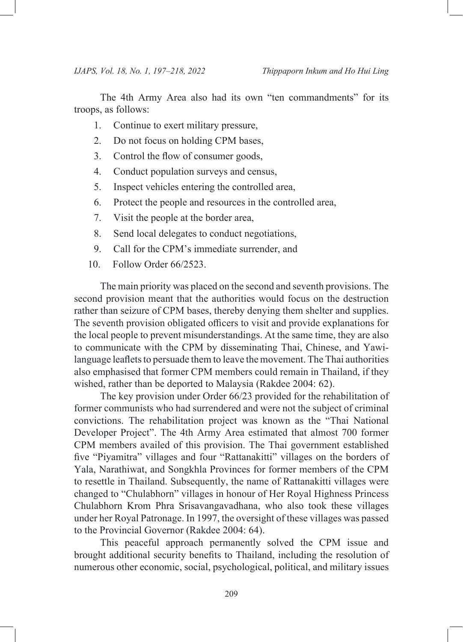The 4th Army Area also had its own "ten commandments" for its troops, as follows:

- 1. Continue to exert military pressure,
- 2. Do not focus on holding CPM bases,
- 3. Control the flow of consumer goods,
- 4. Conduct population surveys and census,
- 5. Inspect vehicles entering the controlled area,
- 6. Protect the people and resources in the controlled area,
- 7. Visit the people at the border area,
- 8. Send local delegates to conduct negotiations,
- 9. Call for the CPM's immediate surrender, and
- 10. Follow Order 66/2523.

The main priority was placed on the second and seventh provisions. The second provision meant that the authorities would focus on the destruction rather than seizure of CPM bases, thereby denying them shelter and supplies. The seventh provision obligated officers to visit and provide explanations for the local people to prevent misunderstandings. At the same time, they are also to communicate with the CPM by disseminating Thai, Chinese, and Yawilanguage leaflets to persuade them to leave the movement. The Thai authorities also emphasised that former CPM members could remain in Thailand, if they wished, rather than be deported to Malaysia (Rakdee 2004: 62).

The key provision under Order 66/23 provided for the rehabilitation of former communists who had surrendered and were not the subject of criminal convictions. The rehabilitation project was known as the "Thai National Developer Project". The 4th Army Area estimated that almost 700 former CPM members availed of this provision. The Thai government established five "Piyamitra" villages and four "Rattanakitti" villages on the borders of Yala, Narathiwat, and Songkhla Provinces for former members of the CPM to resettle in Thailand. Subsequently, the name of Rattanakitti villages were changed to "Chulabhorn" villages in honour of Her Royal Highness Princess Chulabhorn Krom Phra Srisavangavadhana, who also took these villages under her Royal Patronage. In 1997, the oversight of these villages was passed to the Provincial Governor (Rakdee 2004: 64).

This peaceful approach permanently solved the CPM issue and brought additional security benefits to Thailand, including the resolution of numerous other economic, social, psychological, political, and military issues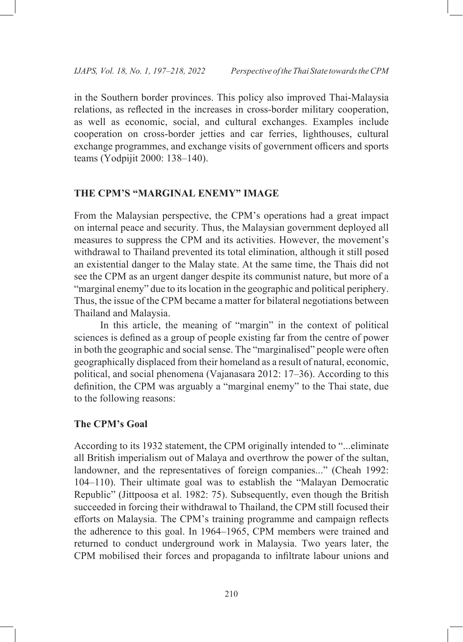in the Southern border provinces. This policy also improved Thai-Malaysia relations, as reflected in the increases in cross-border military cooperation, as well as economic, social, and cultural exchanges. Examples include cooperation on cross-border jetties and car ferries, lighthouses, cultural exchange programmes, and exchange visits of government officers and sports teams (Yodpijit 2000: 138–140).

## **THE CPM'S "MARGINAL ENEMY" IMAGE**

From the Malaysian perspective, the CPM's operations had a great impact on internal peace and security. Thus, the Malaysian government deployed all measures to suppress the CPM and its activities. However, the movement's withdrawal to Thailand prevented its total elimination, although it still posed an existential danger to the Malay state. At the same time, the Thais did not see the CPM as an urgent danger despite its communist nature, but more of a "marginal enemy" due to its location in the geographic and political periphery. Thus, the issue of the CPM became a matter for bilateral negotiations between Thailand and Malaysia.

In this article, the meaning of "margin" in the context of political sciences is defined as a group of people existing far from the centre of power in both the geographic and social sense. The "marginalised" people were often geographically displaced from their homeland as a result of natural, economic, political, and social phenomena (Vajanasara 2012: 17–36). According to this definition, the CPM was arguably a "marginal enemy" to the Thai state, due to the following reasons:

#### **The CPM's Goal**

According to its 1932 statement, the CPM originally intended to "...eliminate all British imperialism out of Malaya and overthrow the power of the sultan, landowner, and the representatives of foreign companies..." (Cheah 1992: 104–110). Their ultimate goal was to establish the "Malayan Democratic Republic" (Jittpoosa et al. 1982: 75). Subsequently, even though the British succeeded in forcing their withdrawal to Thailand, the CPM still focused their efforts on Malaysia. The CPM's training programme and campaign reflects the adherence to this goal. In 1964–1965, CPM members were trained and returned to conduct underground work in Malaysia. Two years later, the CPM mobilised their forces and propaganda to infiltrate labour unions and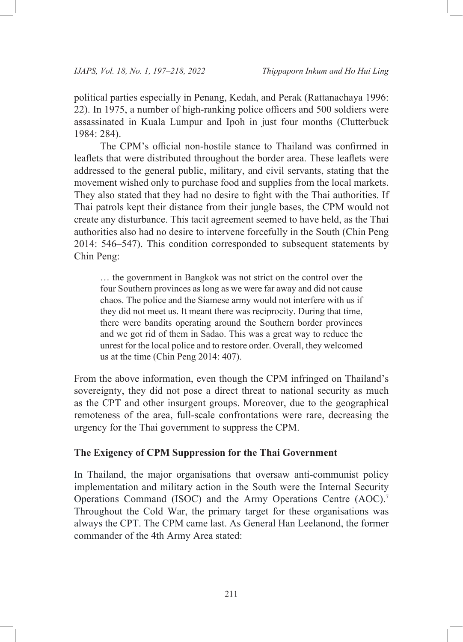political parties especially in Penang, Kedah, and Perak (Rattanachaya 1996: 22). In 1975, a number of high-ranking police officers and 500 soldiers were assassinated in Kuala Lumpur and Ipoh in just four months (Clutterbuck 1984: 284).

The CPM's official non-hostile stance to Thailand was confirmed in leaflets that were distributed throughout the border area. These leaflets were addressed to the general public, military, and civil servants, stating that the movement wished only to purchase food and supplies from the local markets. They also stated that they had no desire to fight with the Thai authorities. If Thai patrols kept their distance from their jungle bases, the CPM would not create any disturbance. This tacit agreement seemed to have held, as the Thai authorities also had no desire to intervene forcefully in the South (Chin Peng 2014: 546–547). This condition corresponded to subsequent statements by Chin Peng:

… the government in Bangkok was not strict on the control over the four Southern provinces as long as we were far away and did not cause chaos. The police and the Siamese army would not interfere with us if they did not meet us. It meant there was reciprocity. During that time, there were bandits operating around the Southern border provinces and we got rid of them in Sadao. This was a great way to reduce the unrest for the local police and to restore order. Overall, they welcomed us at the time (Chin Peng 2014: 407).

From the above information, even though the CPM infringed on Thailand's sovereignty, they did not pose a direct threat to national security as much as the CPT and other insurgent groups. Moreover, due to the geographical remoteness of the area, full-scale confrontations were rare, decreasing the urgency for the Thai government to suppress the CPM.

#### **The Exigency of CPM Suppression for the Thai Government**

In Thailand, the major organisations that oversaw anti-communist policy implementation and military action in the South were the Internal Security Operations Command (ISOC) and the Army Operations Centre (AOC). 7 Throughout the Cold War, the primary target for these organisations was always the CPT. The CPM came last. As General Han Leelanond, the former commander of the 4th Army Area stated: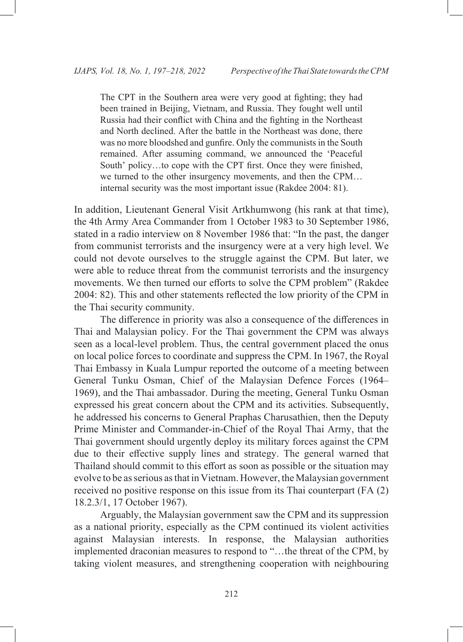The CPT in the Southern area were very good at fighting; they had been trained in Beijing, Vietnam, and Russia. They fought well until Russia had their conflict with China and the fighting in the Northeast and North declined. After the battle in the Northeast was done, there was no more bloodshed and gunfire. Only the communists in the South remained. After assuming command, we announced the 'Peaceful South' policy…to cope with the CPT first. Once they were finished, we turned to the other insurgency movements, and then the CPM… internal security was the most important issue (Rakdee 2004: 81).

In addition, Lieutenant General Visit Artkhumwong (his rank at that time), the 4th Army Area Commander from 1 October 1983 to 30 September 1986, stated in a radio interview on 8 November 1986 that: "In the past, the danger from communist terrorists and the insurgency were at a very high level. We could not devote ourselves to the struggle against the CPM. But later, we were able to reduce threat from the communist terrorists and the insurgency movements. We then turned our efforts to solve the CPM problem" (Rakdee 2004: 82). This and other statements reflected the low priority of the CPM in the Thai security community.

The difference in priority was also a consequence of the differences in Thai and Malaysian policy. For the Thai government the CPM was always seen as a local-level problem. Thus, the central government placed the onus on local police forces to coordinate and suppress the CPM. In 1967, the Royal Thai Embassy in Kuala Lumpur reported the outcome of a meeting between General Tunku Osman, Chief of the Malaysian Defence Forces (1964– 1969), and the Thai ambassador. During the meeting, General Tunku Osman expressed his great concern about the CPM and its activities. Subsequently, he addressed his concerns to General Praphas Charusathien, then the Deputy Prime Minister and Commander-in-Chief of the Royal Thai Army, that the Thai government should urgently deploy its military forces against the CPM due to their effective supply lines and strategy. The general warned that Thailand should commit to this effort as soon as possible or the situation may evolve to be as serious as that in Vietnam. However, the Malaysian government received no positive response on this issue from its Thai counterpart (FA (2) 18.2.3/1, 17 October 1967).

Arguably, the Malaysian government saw the CPM and its suppression as a national priority, especially as the CPM continued its violent activities against Malaysian interests. In response, the Malaysian authorities implemented draconian measures to respond to "…the threat of the CPM, by taking violent measures, and strengthening cooperation with neighbouring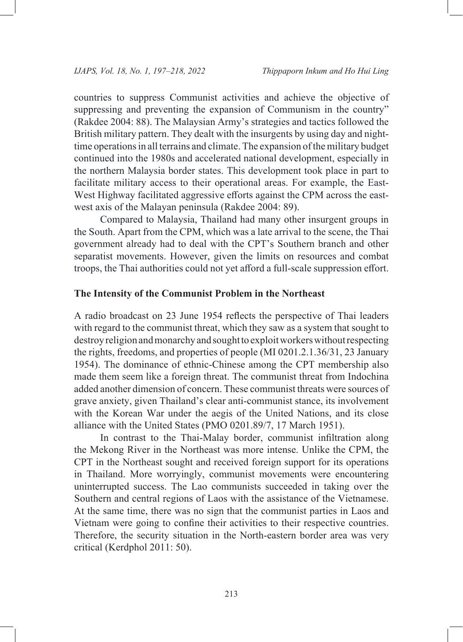countries to suppress Communist activities and achieve the objective of suppressing and preventing the expansion of Communism in the country" (Rakdee 2004: 88). The Malaysian Army's strategies and tactics followed the British military pattern. They dealt with the insurgents by using day and nighttime operations in all terrains and climate. The expansion of the military budget continued into the 1980s and accelerated national development, especially in the northern Malaysia border states. This development took place in part to facilitate military access to their operational areas. For example, the East-West Highway facilitated aggressive efforts against the CPM across the eastwest axis of the Malayan peninsula (Rakdee 2004: 89).

Compared to Malaysia, Thailand had many other insurgent groups in the South. Apart from the CPM, which was a late arrival to the scene, the Thai government already had to deal with the CPT's Southern branch and other separatist movements. However, given the limits on resources and combat troops, the Thai authorities could not yet afford a full-scale suppression effort.

#### **The Intensity of the Communist Problem in the Northeast**

A radio broadcast on 23 June 1954 reflects the perspective of Thai leaders with regard to the communist threat, which they saw as a system that sought to destroy religion and monarchy and sought to exploit workers without respecting the rights, freedoms, and properties of people (MI 0201.2.1.36/31, 23 January 1954). The dominance of ethnic-Chinese among the CPT membership also made them seem like a foreign threat. The communist threat from Indochina added another dimension of concern. These communist threats were sources of grave anxiety, given Thailand's clear anti-communist stance, its involvement with the Korean War under the aegis of the United Nations, and its close alliance with the United States (PMO 0201.89/7, 17 March 1951).

In contrast to the Thai-Malay border, communist infiltration along the Mekong River in the Northeast was more intense. Unlike the CPM, the CPT in the Northeast sought and received foreign support for its operations in Thailand. More worryingly, communist movements were encountering uninterrupted success. The Lao communists succeeded in taking over the Southern and central regions of Laos with the assistance of the Vietnamese. At the same time, there was no sign that the communist parties in Laos and Vietnam were going to confine their activities to their respective countries. Therefore, the security situation in the North-eastern border area was very critical (Kerdphol 2011: 50).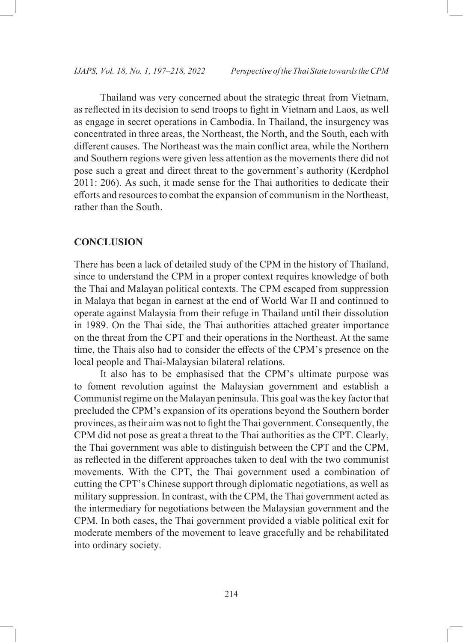Thailand was very concerned about the strategic threat from Vietnam, as reflected in its decision to send troops to fight in Vietnam and Laos, as well as engage in secret operations in Cambodia. In Thailand, the insurgency was concentrated in three areas, the Northeast, the North, and the South, each with different causes. The Northeast was the main conflict area, while the Northern and Southern regions were given less attention as the movements there did not pose such a great and direct threat to the government's authority (Kerdphol 2011: 206). As such, it made sense for the Thai authorities to dedicate their efforts and resources to combat the expansion of communism in the Northeast, rather than the South.

## **CONCLUSION**

There has been a lack of detailed study of the CPM in the history of Thailand, since to understand the CPM in a proper context requires knowledge of both the Thai and Malayan political contexts. The CPM escaped from suppression in Malaya that began in earnest at the end of World War II and continued to operate against Malaysia from their refuge in Thailand until their dissolution in 1989. On the Thai side, the Thai authorities attached greater importance on the threat from the CPT and their operations in the Northeast. At the same time, the Thais also had to consider the effects of the CPM's presence on the local people and Thai-Malaysian bilateral relations.

It also has to be emphasised that the CPM's ultimate purpose was to foment revolution against the Malaysian government and establish a Communist regime on the Malayan peninsula. This goal was the key factor that precluded the CPM's expansion of its operations beyond the Southern border provinces, as their aim was not to fight the Thai government. Consequently, the CPM did not pose as great a threat to the Thai authorities as the CPT. Clearly, the Thai government was able to distinguish between the CPT and the CPM, as reflected in the different approaches taken to deal with the two communist movements. With the CPT, the Thai government used a combination of cutting the CPT's Chinese support through diplomatic negotiations, as well as military suppression. In contrast, with the CPM, the Thai government acted as the intermediary for negotiations between the Malaysian government and the CPM. In both cases, the Thai government provided a viable political exit for moderate members of the movement to leave gracefully and be rehabilitated into ordinary society.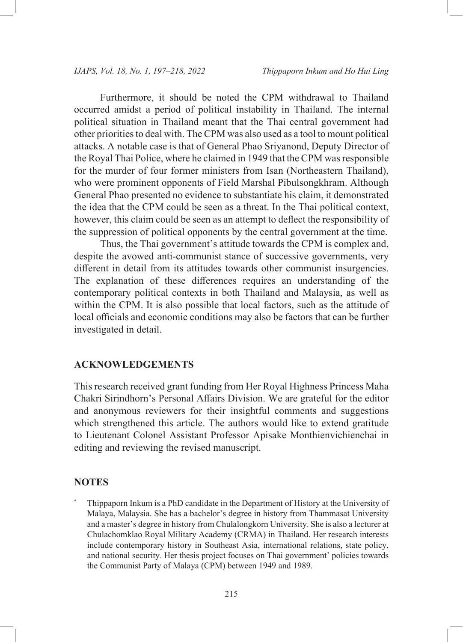Furthermore, it should be noted the CPM withdrawal to Thailand occurred amidst a period of political instability in Thailand. The internal political situation in Thailand meant that the Thai central government had other priorities to deal with. The CPM was also used as a tool to mount political attacks. A notable case is that of General Phao Sriyanond, Deputy Director of the Royal Thai Police, where he claimed in 1949 that the CPM was responsible for the murder of four former ministers from Isan (Northeastern Thailand), who were prominent opponents of Field Marshal Pibulsongkhram. Although General Phao presented no evidence to substantiate his claim, it demonstrated the idea that the CPM could be seen as a threat. In the Thai political context, however, this claim could be seen as an attempt to deflect the responsibility of the suppression of political opponents by the central government at the time.

Thus, the Thai government's attitude towards the CPM is complex and, despite the avowed anti-communist stance of successive governments, very different in detail from its attitudes towards other communist insurgencies. The explanation of these differences requires an understanding of the contemporary political contexts in both Thailand and Malaysia, as well as within the CPM. It is also possible that local factors, such as the attitude of local officials and economic conditions may also be factors that can be further investigated in detail.

#### **ACKNOWLEDGEMENTS**

This research received grant funding from Her Royal Highness Princess Maha Chakri Sirindhorn's Personal Affairs Division. We are grateful for the editor and anonymous reviewers for their insightful comments and suggestions which strengthened this article. The authors would like to extend gratitude to Lieutenant Colonel Assistant Professor Apisake Monthienvichienchai in editing and reviewing the revised manuscript.

#### **NOTES**

Thippaporn Inkum is a PhD candidate in the Department of History at the University of Malaya, Malaysia. She has a bachelor's degree in history from Thammasat University and a master's degree in history from Chulalongkorn University. She is also a lecturer at Chulachomklao Royal Military Academy (CRMA) in Thailand. Her research interests include contemporary history in Southeast Asia, international relations, state policy, and national security. Her thesis project focuses on Thai government' policies towards the Communist Party of Malaya (CPM) between 1949 and 1989.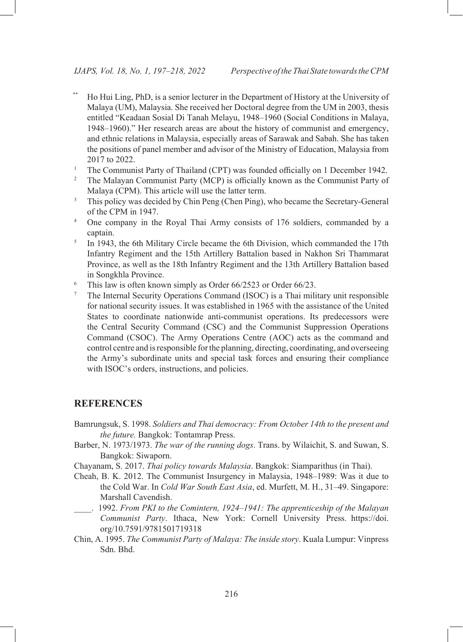- Ho Hui Ling, PhD, is a senior lecturer in the Department of History at the University of Malaya (UM), Malaysia. She received her Doctoral degree from the UM in 2003, thesis entitled "Keadaan Sosial Di Tanah Melayu, 1948–1960 (Social Conditions in Malaya, 1948–1960)." Her research areas are about the history of communist and emergency, and ethnic relations in Malaysia, especially areas of Sarawak and Sabah. She has taken the positions of panel member and advisor of the Ministry of Education, Malaysia from 2017 to 2022.
- <sup>1</sup> The Communist Party of Thailand (CPT) was founded officially on 1 December 1942.
- <sup>2</sup> The Malayan Communist Party (MCP) is officially known as the Communist Party of Malaya (CPM). This article will use the latter term.
- This policy was decided by Chin Peng (Chen Ping), who became the Secretary-General of the CPM in 1947.
- 4 One company in the Royal Thai Army consists of 176 soldiers, commanded by a captain.
- <sup>5</sup> In 1943, the 6th Military Circle became the 6th Division, which commanded the 17th Infantry Regiment and the 15th Artillery Battalion based in Nakhon Sri Thammarat Province, as well as the 18th Infantry Regiment and the 13th Artillery Battalion based in Songkhla Province.
- <sup>6</sup> This law is often known simply as Order 66/2523 or Order 66/23.
- <sup>7</sup> The Internal Security Operations Command (ISOC) is a Thai military unit responsible for national security issues. It was established in 1965 with the assistance of the United States to coordinate nationwide anti-communist operations. Its predecessors were the Central Security Command (CSC) and the Communist Suppression Operations Command (CSOC). The Army Operations Centre (AOC) acts as the command and control centre and is responsible for the planning, directing, coordinating, and overseeing the Army's subordinate units and special task forces and ensuring their compliance with ISOC's orders, instructions, and policies.

#### **REFERENCES**

- Bamrungsuk, S. 1998. *Soldiers and Thai democracy: From October 14th to the present and the future.* Bangkok: Tontamrap Press.
- Barber, N. 1973/1973. *The war of the running dogs*. Trans. by Wilaichit, S. and Suwan, S. Bangkok: Siwaporn.
- Chayanam, S. 2017. *Thai policy towards Malaysia*. Bangkok: Siamparithus (in Thai).
- Cheah, B. K. 2012. The Communist Insurgency in Malaysia, 1948–1989: Was it due to the Cold War. In *Cold War South East Asia*, ed. Murfett, M. H., 31–49. Singapore: Marshall Cavendish.
- \_\_\_\_. 1992. *From PKI to the Comintern, 1924–1941: The apprenticeship of the Malayan Communist Party*. Ithaca, New York: Cornell University Press. [https://doi.](https://doi.org/10.7591/9781501719318) [org/10.7591/9781501719318](https://doi.org/10.7591/9781501719318)
- Chin, A. 1995. *The Communist Party of Malaya: The inside story*. Kuala Lumpur: Vinpress Sdn. Bhd.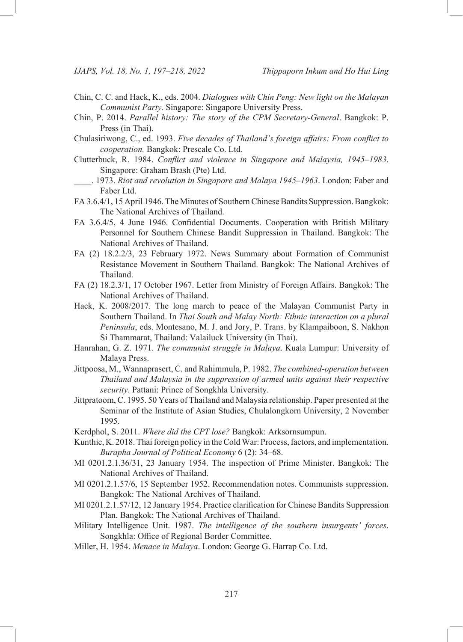- Chin, C. C. and Hack, K., eds. 2004. *Dialogues with Chin Peng: New light on the Malayan Communist Party*. Singapore: Singapore University Press.
- Chin, P. 2014. *Parallel history: The story of the CPM Secretary-General*. Bangkok: P. Press (in Thai).
- Chulasiriwong, C., ed. 1993. *Five decades of Thailand's foreign affairs: From conflict to cooperation.* Bangkok: Prescale Co. Ltd.
- Clutterbuck, R. 1984. *Conflict and violence in Singapore and Malaysia, 1945–1983*. Singapore: Graham Brash (Pte) Ltd.
- \_\_\_\_. 1973. *Riot and revolution in Singapore and Malaya 1945–1963*. London: Faber and Faber Ltd.
- FA 3.6.4/1, 15 April 1946. The Minutes of Southern Chinese Bandits Suppression. Bangkok: The National Archives of Thailand.
- FA 3.6.4/5, 4 June 1946. Confidential Documents. Cooperation with British Military Personnel for Southern Chinese Bandit Suppression in Thailand. Bangkok: The National Archives of Thailand.
- FA (2) 18.2.2/3, 23 February 1972. News Summary about Formation of Communist Resistance Movement in Southern Thailand. Bangkok: The National Archives of Thailand.
- FA (2) 18.2.3/1, 17 October 1967. Letter from Ministry of Foreign Affairs. Bangkok: The National Archives of Thailand.
- Hack, K. 2008/2017. The long march to peace of the Malayan Communist Party in Southern Thailand. In *Thai South and Malay North: Ethnic interaction on a plural Peninsula*, eds. Montesano, M. J. and Jory, P. Trans. by Klampaiboon, S. Nakhon Si Thammarat, Thailand: Valailuck University (in Thai).
- Hanrahan, G. Z. 1971. *The communist struggle in Malaya*. Kuala Lumpur: University of Malaya Press.
- Jittpoosa, M., Wannaprasert, C. and Rahimmula, P. 1982. *The combined-operation between Thailand and Malaysia in the suppression of armed units against their respective security*. Pattani: Prince of Songkhla University.
- Jittpratoom, C. 1995. 50 Years of Thailand and Malaysia relationship. Paper presented at the Seminar of the Institute of Asian Studies, Chulalongkorn University, 2 November 1995.
- Kerdphol, S. 2011. *Where did the CPT lose?* Bangkok: Arksornsumpun.
- Kunthic, K. 2018. Thai foreign policy in the Cold War: Process, factors, and implementation. *Burapha Journal of Political Economy* 6 (2): 34–68.
- MI 0201.2.1.36/31, 23 January 1954. The inspection of Prime Minister. Bangkok: The National Archives of Thailand.
- MI 0201.2.1.57/6, 15 September 1952. Recommendation notes. Communists suppression. Bangkok: The National Archives of Thailand.
- MI 0201.2.1.57/12, 12 January 1954. Practice clarification for Chinese Bandits Suppression Plan. Bangkok: The National Archives of Thailand.
- Military Intelligence Unit. 1987. *The intelligence of the southern insurgents' forces*. Songkhla: Office of Regional Border Committee.
- Miller, H. 1954. *Menace in Malaya*. London: George G. Harrap Co. Ltd.